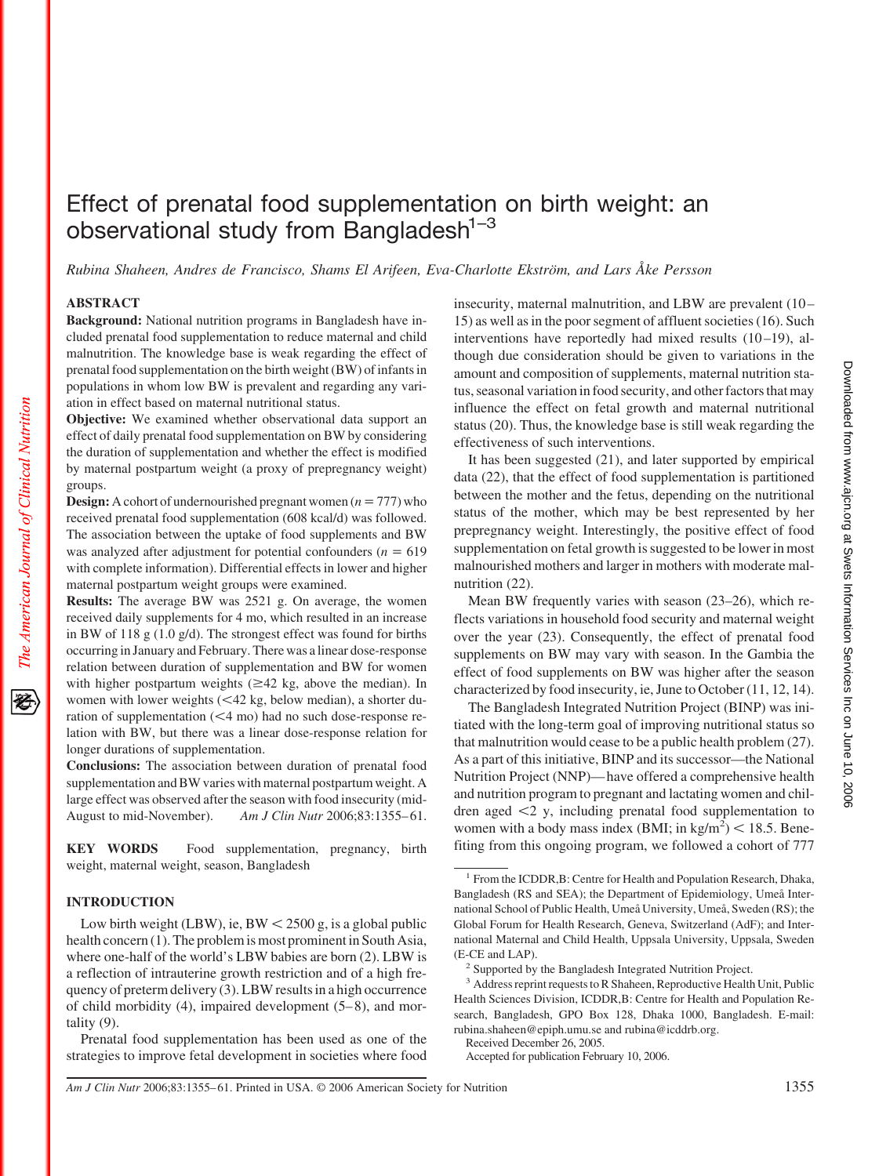# Effect of prenatal food supplementation on birth weight: an observational study from Bangladesh $1-3$

*Rubina Shaheen, Andres de Francisco, Shams El Arifeen, Eva-Charlotte Ekström, and Lars Åke Persson*

# **ABSTRACT**

**Background:** National nutrition programs in Bangladesh have included prenatal food supplementation to reduce maternal and child malnutrition. The knowledge base is weak regarding the effect of prenatal food supplementation on the birth weight (BW) of infants in populations in whom low BW is prevalent and regarding any variation in effect based on maternal nutritional status.

**Objective:** We examined whether observational data support an effect of daily prenatal food supplementation on BW by considering the duration of supplementation and whether the effect is modified by maternal postpartum weight (a proxy of prepregnancy weight) groups.

**Design:** A cohort of undernourished pregnant women  $(n = 777)$  who received prenatal food supplementation (608 kcal/d) was followed. The association between the uptake of food supplements and BW was analyzed after adjustment for potential confounders ( $n = 619$ ) with complete information). Differential effects in lower and higher maternal postpartum weight groups were examined.

**Results:** The average BW was 2521 g. On average, the women received daily supplements for 4 mo, which resulted in an increase in BW of 118 g (1.0 g/d). The strongest effect was found for births occurring in January and February. There was a linear dose-response relation between duration of supplementation and BW for women with higher postpartum weights  $(\geq 42 \text{ kg}, \text{ above the median})$ . In women with lower weights  $(<$  42 kg, below median), a shorter duration of supplementation  $(<$  4 mo) had no such dose-response relation with BW, but there was a linear dose-response relation for longer durations of supplementation.

**Conclusions:** The association between duration of prenatal food supplementation and BW varies with maternal postpartum weight. A large effect was observed after the season with food insecurity (mid-August to mid-November). *Am J Clin Nutr* 2006;83:1355– 61.

**KEY WORDS** Food supplementation, pregnancy, birth weight, maternal weight, season, Bangladesh

# **INTRODUCTION**

Low birth weight (LBW), ie,  $BW < 2500$  g, is a global public health concern (1). The problem is most prominent in South Asia, where one-half of the world's LBW babies are born (2). LBW is a reflection of intrauterine growth restriction and of a high frequency of preterm delivery (3). LBW results in a high occurrence of child morbidity  $(4)$ , impaired development  $(5-8)$ , and mortality (9).

Prenatal food supplementation has been used as one of the strategies to improve fetal development in societies where food insecurity, maternal malnutrition, and LBW are prevalent (10 – 15) as well as in the poor segment of affluent societies (16). Such interventions have reportedly had mixed results  $(10-19)$ , although due consideration should be given to variations in the amount and composition of supplements, maternal nutrition status, seasonal variation in food security, and other factors that may influence the effect on fetal growth and maternal nutritional status (20). Thus, the knowledge base is still weak regarding the effectiveness of such interventions.

It has been suggested (21), and later supported by empirical data (22), that the effect of food supplementation is partitioned between the mother and the fetus, depending on the nutritional status of the mother, which may be best represented by her prepregnancy weight. Interestingly, the positive effect of food supplementation on fetal growth is suggested to be lower in most malnourished mothers and larger in mothers with moderate malnutrition (22).

Mean BW frequently varies with season (23–26), which reflects variations in household food security and maternal weight over the year (23). Consequently, the effect of prenatal food supplements on BW may vary with season. In the Gambia the effect of food supplements on BW was higher after the season characterized by food insecurity, ie, June to October (11, 12, 14).

The Bangladesh Integrated Nutrition Project (BINP) was initiated with the long-term goal of improving nutritional status so that malnutrition would cease to be a public health problem (27). As a part of this initiative, BINP and its successor—the National Nutrition Project (NNP)— have offered a comprehensive health and nutrition program to pregnant and lactating women and children aged  $\leq$ 2 y, including prenatal food supplementation to women with a body mass index (BMI; in  $\text{kg/m}^2$ ) < 18.5. Benefiting from this ongoing program, we followed a cohort of 777

Received December 26, 2005.

Accepted for publication February 10, 2006.

*Am J Clin Nutr* 2006;83:1355–61. Printed in USA. © 2006 American Society for Nutrition 1355

<sup>1</sup> From the ICDDR,B: Centre for Health and Population Research, Dhaka, Bangladesh (RS and SEA); the Department of Epidemiology, Umeå International School of Public Health, Umeå University, Umeå, Sweden (RS); the Global Forum for Health Research, Geneva, Switzerland (AdF); and International Maternal and Child Health, Uppsala University, Uppsala, Sweden (E-CE and LAP).

<sup>&</sup>lt;sup>2</sup> Supported by the Bangladesh Integrated Nutrition Project.

<sup>&</sup>lt;sup>3</sup> Address reprint requests to R Shaheen, Reproductive Health Unit, Public Health Sciences Division, ICDDR,B: Centre for Health and Population Research, Bangladesh, GPO Box 128, Dhaka 1000, Bangladesh. E-mail: rubina.shaheen@epiph.umu.se and rubina@icddrb.org.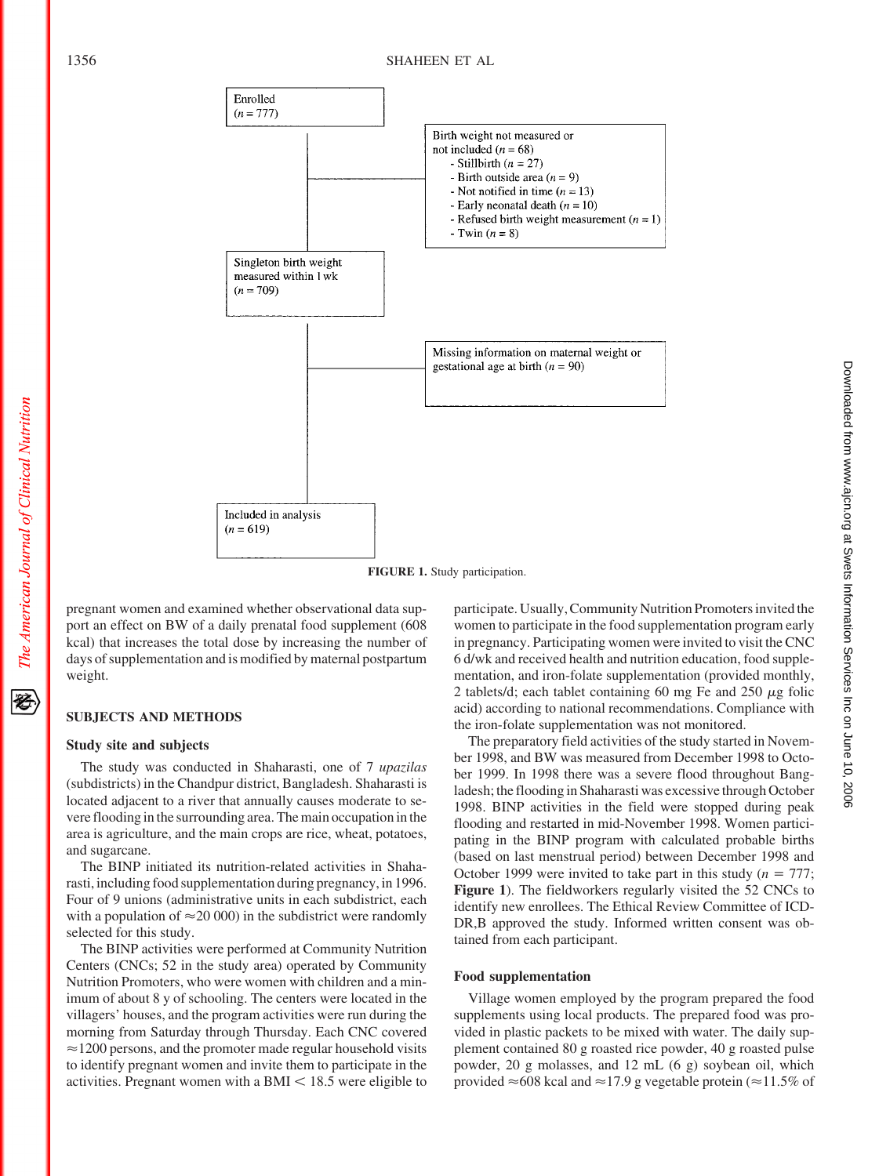

**FIGURE 1.** Study participation.

pregnant women and examined whether observational data support an effect on BW of a daily prenatal food supplement (608 kcal) that increases the total dose by increasing the number of days of supplementation and is modified by maternal postpartum weight.

# **SUBJECTS AND METHODS**

### **Study site and subjects**

The study was conducted in Shaharasti, one of 7 *upazilas* (subdistricts) in the Chandpur district, Bangladesh. Shaharasti is located adjacent to a river that annually causes moderate to severe flooding in the surrounding area. The main occupation in the area is agriculture, and the main crops are rice, wheat, potatoes, and sugarcane.

The BINP initiated its nutrition-related activities in Shaharasti, including food supplementation during pregnancy, in 1996. Four of 9 unions (administrative units in each subdistrict, each with a population of  $\approx$  20 000) in the subdistrict were randomly selected for this study.

The BINP activities were performed at Community Nutrition Centers (CNCs; 52 in the study area) operated by Community Nutrition Promoters, who were women with children and a minimum of about 8 y of schooling. The centers were located in the villagers' houses, and the program activities were run during the morning from Saturday through Thursday. Each CNC covered  $\approx$ 1200 persons, and the promoter made regular household visits to identify pregnant women and invite them to participate in the activities. Pregnant women with a BMI  $\leq 18.5$  were eligible to

participate. Usually, Community Nutrition Promoters invited the women to participate in the food supplementation program early in pregnancy. Participating women were invited to visit the CNC 6 d/wk and received health and nutrition education, food supplementation, and iron-folate supplementation (provided monthly, 2 tablets/d; each tablet containing 60 mg Fe and 250  $\mu$ g folic acid) according to national recommendations. Compliance with the iron-folate supplementation was not monitored.

The preparatory field activities of the study started in November 1998, and BW was measured from December 1998 to October 1999. In 1998 there was a severe flood throughout Bangladesh; the flooding in Shaharasti was excessive through October 1998. BINP activities in the field were stopped during peak flooding and restarted in mid-November 1998. Women participating in the BINP program with calculated probable births (based on last menstrual period) between December 1998 and October 1999 were invited to take part in this study  $(n = 777)$ ; **Figure 1**). The fieldworkers regularly visited the 52 CNCs to identify new enrollees. The Ethical Review Committee of ICD-DR,B approved the study. Informed written consent was obtained from each participant.

#### **Food supplementation**

Village women employed by the program prepared the food supplements using local products. The prepared food was provided in plastic packets to be mixed with water. The daily supplement contained 80 g roasted rice powder, 40 g roasted pulse powder, 20 g molasses, and 12 mL (6 g) soybean oil, which provided  $\approx$  608 kcal and  $\approx$  17.9 g vegetable protein ( $\approx$  11.5% of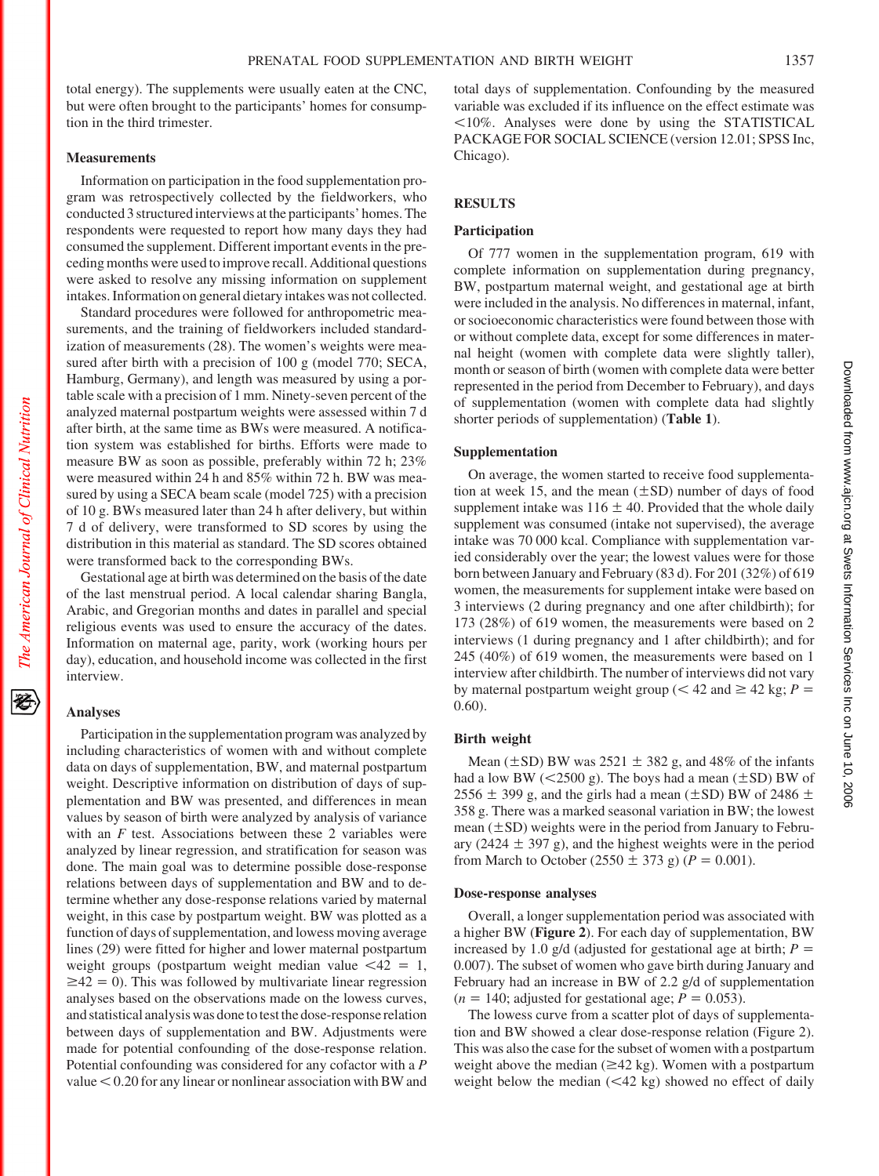total energy). The supplements were usually eaten at the CNC, but were often brought to the participants' homes for consumption in the third trimester.

# **Measurements**

Information on participation in the food supplementation program was retrospectively collected by the fieldworkers, who conducted 3 structured interviews at the participants' homes. The respondents were requested to report how many days they had consumed the supplement. Different important events in the preceding months were used to improve recall. Additional questions were asked to resolve any missing information on supplement intakes. Information on general dietary intakes was not collected.

Standard procedures were followed for anthropometric measurements, and the training of fieldworkers included standardization of measurements (28). The women's weights were measured after birth with a precision of 100 g (model 770; SECA, Hamburg, Germany), and length was measured by using a portable scale with a precision of 1 mm. Ninety-seven percent of the analyzed maternal postpartum weights were assessed within 7 d after birth, at the same time as BWs were measured. A notification system was established for births. Efforts were made to measure BW as soon as possible, preferably within 72 h; 23% were measured within 24 h and 85% within 72 h. BW was measured by using a SECA beam scale (model 725) with a precision of 10 g. BWs measured later than 24 h after delivery, but within 7 d of delivery, were transformed to SD scores by using the distribution in this material as standard. The SD scores obtained were transformed back to the corresponding BWs.

Gestational age at birth was determined on the basis of the date of the last menstrual period. A local calendar sharing Bangla, Arabic, and Gregorian months and dates in parallel and special religious events was used to ensure the accuracy of the dates. Information on maternal age, parity, work (working hours per day), education, and household income was collected in the first interview.

#### **Analyses**

Participation in the supplementation program was analyzed by including characteristics of women with and without complete data on days of supplementation, BW, and maternal postpartum weight. Descriptive information on distribution of days of supplementation and BW was presented, and differences in mean values by season of birth were analyzed by analysis of variance with an *F* test. Associations between these 2 variables were analyzed by linear regression, and stratification for season was done. The main goal was to determine possible dose-response relations between days of supplementation and BW and to determine whether any dose-response relations varied by maternal weight, in this case by postpartum weight. BW was plotted as a function of days of supplementation, and lowess moving average lines (29) were fitted for higher and lower maternal postpartum weight groups (postpartum weight median value  $\langle 42 \rangle = 1$ ,  $\geq$ 42 = 0). This was followed by multivariate linear regression analyses based on the observations made on the lowess curves, and statistical analysis was donetotestthe dose-response relation between days of supplementation and BW. Adjustments were made for potential confounding of the dose-response relation. Potential confounding was considered for any cofactor with a *P* value  $< 0.20$  for any linear or nonlinear association with BW and

total days of supplementation. Confounding by the measured variable was excluded if its influence on the effect estimate was 10%. Analyses were done by using the STATISTICAL PACKAGE FOR SOCIAL SCIENCE (version 12.01; SPSS Inc, Chicago).

#### **RESULTS**

#### **Participation**

Of 777 women in the supplementation program, 619 with complete information on supplementation during pregnancy, BW, postpartum maternal weight, and gestational age at birth were included in the analysis. No differences in maternal, infant, or socioeconomic characteristics were found between those with or without complete data, except for some differences in maternal height (women with complete data were slightly taller), month or season of birth (women with complete data were better represented in the period from December to February), and days of supplementation (women with complete data had slightly shorter periods of supplementation) (**Table 1**).

# **Supplementation**

On average, the women started to receive food supplementation at week 15, and the mean  $(\pm SD)$  number of days of food supplement intake was  $116 \pm 40$ . Provided that the whole daily supplement was consumed (intake not supervised), the average intake was 70 000 kcal. Compliance with supplementation varied considerably over the year; the lowest values were for those born between January and February (83 d). For 201 (32%) of 619 women, the measurements for supplement intake were based on 3 interviews (2 during pregnancy and one after childbirth); for 173 (28%) of 619 women, the measurements were based on 2 interviews (1 during pregnancy and 1 after childbirth); and for 245 (40%) of 619 women, the measurements were based on 1 interview after childbirth. The number of interviews did not vary by maternal postpartum weight group ( $<$  42 and  $\geq$  42 kg; *P* = 0.60).

# **Birth weight**

Mean ( $\pm$ SD) BW was 2521  $\pm$  382 g, and 48% of the infants had a low BW ( $\leq$ 2500 g). The boys had a mean ( $\pm$ SD) BW of  $2556 \pm 399$  g, and the girls had a mean ( $\pm$ SD) BW of 2486  $\pm$ 358 g. There was a marked seasonal variation in BW; the lowest mean  $(\pm SD)$  weights were in the period from January to February (2424  $\pm$  397 g), and the highest weights were in the period from March to October (2550  $\pm$  373 g) (*P* = 0.001).

#### **Dose-response analyses**

Overall, a longer supplementation period was associated with a higher BW (**Figure 2**). For each day of supplementation, BW increased by 1.0 g/d (adjusted for gestational age at birth;  $P =$ 0.007). The subset of women who gave birth during January and February had an increase in BW of 2.2 g/d of supplementation  $(n = 140;$  adjusted for gestational age;  $P = 0.053$ ).

The lowess curve from a scatter plot of days of supplementation and BW showed a clear dose-response relation (Figure 2). This was also the case for the subset of women with a postpartum weight above the median  $(\geq 42 \text{ kg})$ . Women with a postpartum weight below the median  $( $42 \text{ kg}$ )$  showed no effect of daily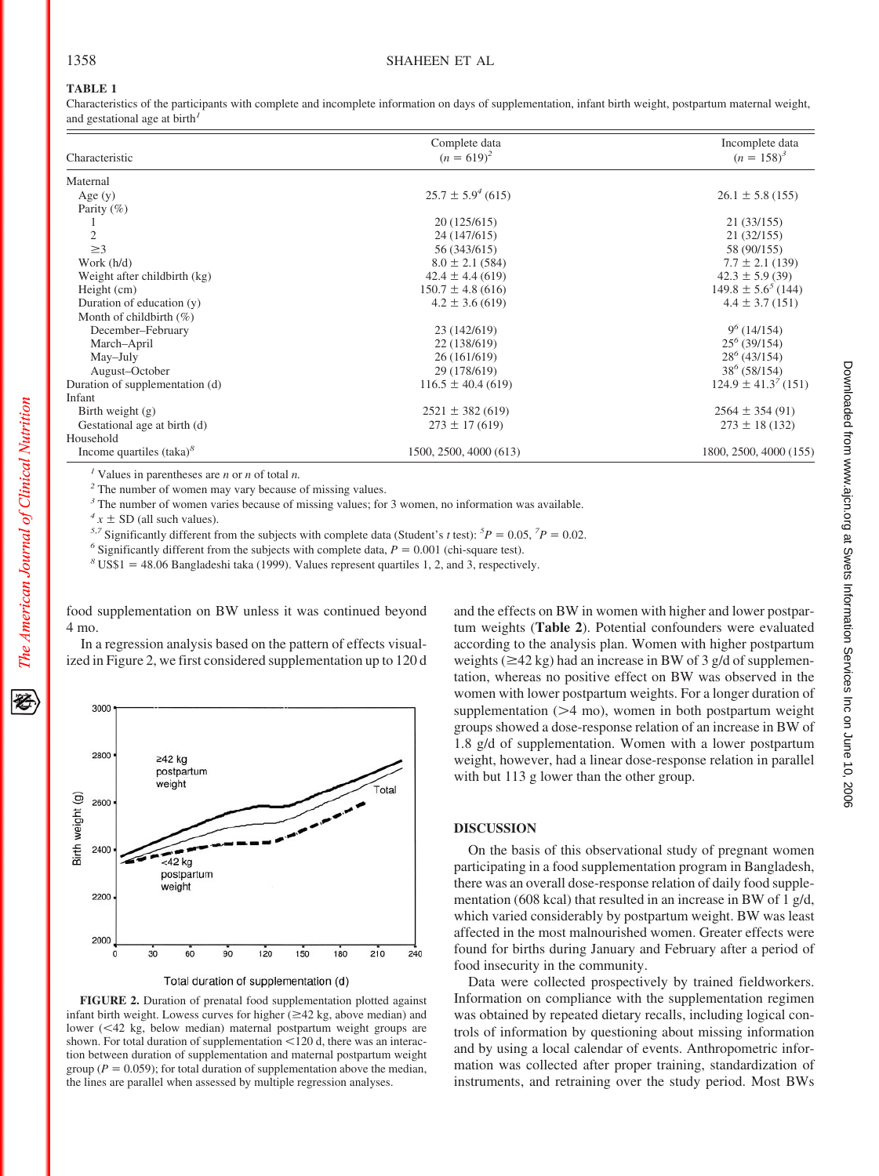# **TABLE 1**

Characteristics of the participants with complete and incomplete information on days of supplementation, infant birth weight, postpartum maternal weight, and gestational age at birth*<sup>1</sup>*

|                                 | Complete data            | Incomplete data           |  |
|---------------------------------|--------------------------|---------------------------|--|
| Characteristic                  | $(n = 619)^2$            | $(n = 158)^3$             |  |
| Maternal                        |                          |                           |  |
| Age $(y)$                       | $25.7 \pm 5.9^{4}$ (615) | $26.1 \pm 5.8$ (155)      |  |
| Parity $(\% )$                  |                          |                           |  |
|                                 | 20 (125/615)             | 21 (33/155)               |  |
| $\overline{c}$                  | 24 (147/615)             | 21 (32/155)               |  |
| $\geq$ 3                        | 56 (343/615)             | 58 (90/155)               |  |
| Work $(h/d)$                    | $8.0 \pm 2.1$ (584)      | $7.7 \pm 2.1$ (139)       |  |
| Weight after childbirth (kg)    | $42.4 \pm 4.4$ (619)     | $42.3 \pm 5.9$ (39)       |  |
| Height (cm)                     | $150.7 \pm 4.8$ (616)    | $149.8 \pm 5.6^{5}$ (144) |  |
| Duration of education (y)       | $4.2 \pm 3.6$ (619)      | $4.4 \pm 3.7$ (151)       |  |
| Month of childbirth $(\%)$      |                          |                           |  |
| December-February               | 23 (142/619)             | $9^6(14/154)$             |  |
| March-April                     | 22 (138/619)             | $25^{6}$ (39/154)         |  |
| May-July                        | 26 (161/619)             | $28^6$ (43/154)           |  |
| August-October                  | 29 (178/619)             | $38^6$ (58/154)           |  |
| Duration of supplementation (d) | $116.5 \pm 40.4$ (619)   | $124.9 \pm 41.3^7(151)$   |  |
| Infant                          |                          |                           |  |
| Birth weight $(g)$              | $2521 \pm 382(619)$      | $2564 \pm 354(91)$        |  |
| Gestational age at birth (d)    | $273 \pm 17(619)$        | $273 \pm 18(132)$         |  |
| Household                       |                          |                           |  |
| Income quartiles $(taka)^8$     | 1500, 2500, 4000 (613)   | 1800, 2500, 4000 (155)    |  |

*<sup>1</sup>* Values in parentheses are *n* or *n* of total *n.*

*<sup>2</sup>* The number of women may vary because of missing values.

<sup>3</sup> The number of women varies because of missing values; for 3 women, no information was available.

 $4x \pm SD$  (all such values).

<sup>5,7</sup> Significantly different from the subjects with complete data (Student's *t* test): <sup>5</sup> $P = 0.05$ , <sup>7</sup> $P = 0.02$ .

<sup>6</sup> Significantly different from the subjects with complete data,  $P = 0.001$  (chi-square test).

 $8 \text{ US$1 = 48.06 Bangladeshi}$  taka (1999). Values represent quartiles 1, 2, and 3, respectively.

food supplementation on BW unless it was continued beyond 4 mo.

In a regression analysis based on the pattern of effects visualized in Figure 2, we first considered supplementation up to 120 d



**FIGURE 2.** Duration of prenatal food supplementation plotted against infant birth weight. Lowess curves for higher  $(\geq 42 \text{ kg}, \text{ above median})$  and lower (42 kg, below median) maternal postpartum weight groups are shown. For total duration of supplementation  $<$  120 d, there was an interaction between duration of supplementation and maternal postpartum weight group ( $P = 0.059$ ); for total duration of supplementation above the median,

the lines are parallel when assessed by multiple regression analyses.

and the effects on BW in women with higher and lower postpartum weights (**Table 2**). Potential confounders were evaluated according to the analysis plan. Women with higher postpartum weights ( $\geq$ 42 kg) had an increase in BW of 3 g/d of supplementation, whereas no positive effect on BW was observed in the women with lower postpartum weights. For a longer duration of supplementation  $(24 \text{ mo})$ , women in both postpartum weight groups showed a dose-response relation of an increase in BW of 1.8 g/d of supplementation. Women with a lower postpartum weight, however, had a linear dose-response relation in parallel with but 113 g lower than the other group.

#### **DISCUSSION**

On the basis of this observational study of pregnant women participating in a food supplementation program in Bangladesh, there was an overall dose-response relation of daily food supplementation (608 kcal) that resulted in an increase in BW of 1 g/d, which varied considerably by postpartum weight. BW was least affected in the most malnourished women. Greater effects were found for births during January and February after a period of food insecurity in the community.

Data were collected prospectively by trained fieldworkers. Information on compliance with the supplementation regimen was obtained by repeated dietary recalls, including logical controls of information by questioning about missing information and by using a local calendar of events. Anthropometric information was collected after proper training, standardization of instruments, and retraining over the study period. Most BWs

豾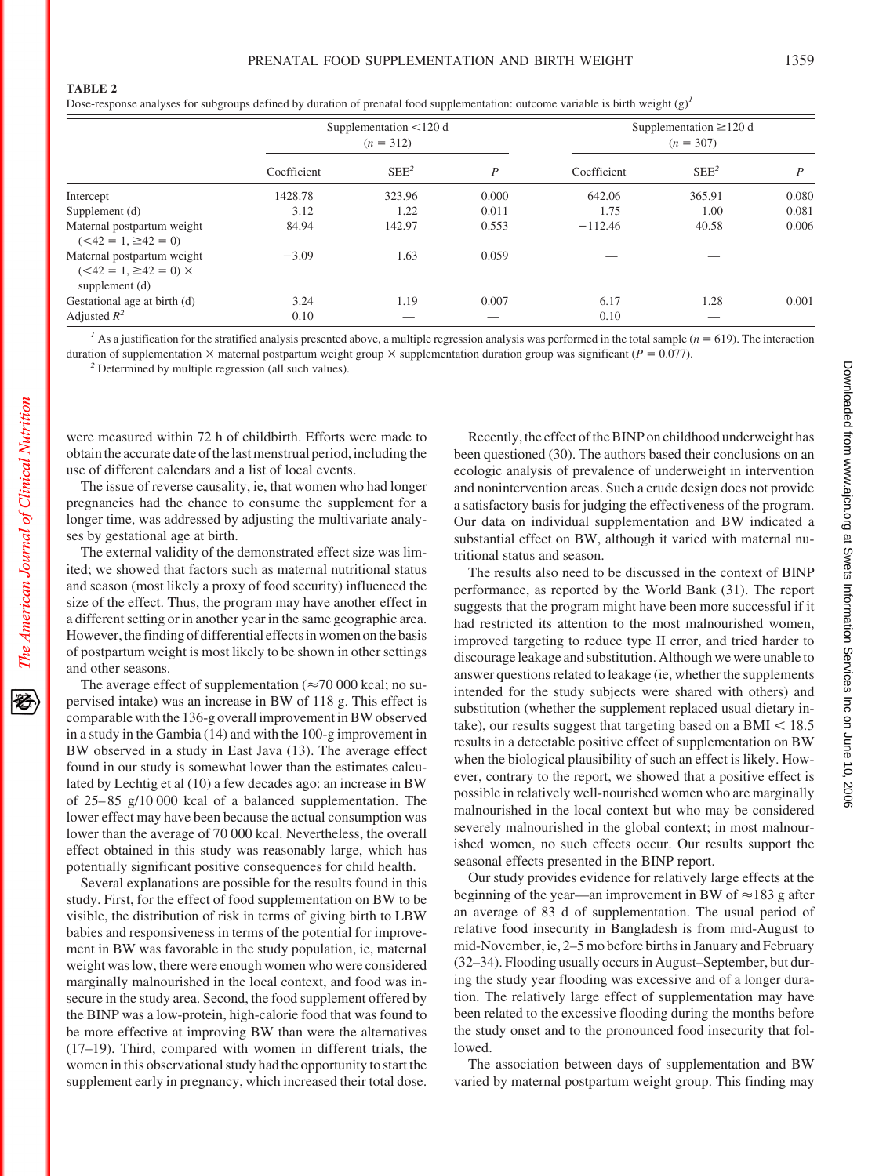Dose-response analyses for subgroups defined by duration of prenatal food supplementation: outcome variable is birth weight (g)<sup>1</sup>

|                                                                           | Supplementation $<$ 120 d<br>$(n = 312)$ |                  |       | Supplementation $\geq$ 120 d<br>$(n = 307)$ |                  |       |
|---------------------------------------------------------------------------|------------------------------------------|------------------|-------|---------------------------------------------|------------------|-------|
|                                                                           | Coefficient                              | SEE <sup>2</sup> | P     | Coefficient                                 | SEE <sup>2</sup> | P     |
| Intercept                                                                 | 1428.78                                  | 323.96           | 0.000 | 642.06                                      | 365.91           | 0.080 |
| Supplement (d)                                                            | 3.12                                     | 1.22             | 0.011 | 1.75                                        | 1.00             | 0.081 |
| Maternal postpartum weight<br>$(<42 = 1, \ge 42 = 0)$                     | 84.94                                    | 142.97           | 0.553 | $-112.46$                                   | 40.58            | 0.006 |
| Maternal postpartum weight<br>$(<42 = 1, \ge 42 = 0)$ ×<br>supplement (d) | $-3.09$                                  | 1.63             | 0.059 |                                             |                  |       |
| Gestational age at birth (d)                                              | 3.24                                     | 1.19             | 0.007 | 6.17                                        | 1.28             | 0.001 |
| Adjusted $R^2$                                                            | 0.10                                     |                  |       | 0.10                                        |                  |       |

<sup>*1*</sup> As a justification for the stratified analysis presented above, a multiple regression analysis was performed in the total sample ( $n = 619$ ). The interaction duration of supplementation  $\times$  maternal postpartum weight group  $\times$  supplementation duration group was significant ( $P = 0.077$ ).

*<sup>2</sup>* Determined by multiple regression (all such values).

were measured within 72 h of childbirth. Efforts were made to obtain the accurate date of the last menstrual period, including the use of different calendars and a list of local events.

The issue of reverse causality, ie, that women who had longer pregnancies had the chance to consume the supplement for a longer time, was addressed by adjusting the multivariate analyses by gestational age at birth.

The external validity of the demonstrated effect size was limited; we showed that factors such as maternal nutritional status and season (most likely a proxy of food security) influenced the size of the effect. Thus, the program may have another effect in a different setting or in another year in the same geographic area. However, the finding of differential effects in women on the basis of postpartum weight is most likely to be shown in other settings and other seasons.

The average effect of supplementation ( $\approx$  70 000 kcal; no supervised intake) was an increase in BW of 118 g. This effect is comparable with the 136-g overall improvement in BW observed in a study in the Gambia (14) and with the 100-g improvement in BW observed in a study in East Java (13). The average effect found in our study is somewhat lower than the estimates calculated by Lechtig et al (10) a few decades ago: an increase in BW of 25– 85 g/10 000 kcal of a balanced supplementation. The lower effect may have been because the actual consumption was lower than the average of 70 000 kcal. Nevertheless, the overall effect obtained in this study was reasonably large, which has potentially significant positive consequences for child health.

Several explanations are possible for the results found in this study. First, for the effect of food supplementation on BW to be visible, the distribution of risk in terms of giving birth to LBW babies and responsiveness in terms of the potential for improvement in BW was favorable in the study population, ie, maternal weight was low, there were enough women who were considered marginally malnourished in the local context, and food was insecure in the study area. Second, the food supplement offered by the BINP was a low-protein, high-calorie food that was found to be more effective at improving BW than were the alternatives (17–19). Third, compared with women in different trials, the women in this observational study had the opportunity to start the supplement early in pregnancy, which increased their total dose.

Recently, the effect of the BINP on childhood underweight has been questioned (30). The authors based their conclusions on an ecologic analysis of prevalence of underweight in intervention and nonintervention areas. Such a crude design does not provide a satisfactory basis for judging the effectiveness of the program. Our data on individual supplementation and BW indicated a substantial effect on BW, although it varied with maternal nutritional status and season.

The results also need to be discussed in the context of BINP performance, as reported by the World Bank (31). The report suggests that the program might have been more successful if it had restricted its attention to the most malnourished women, improved targeting to reduce type II error, and tried harder to discourage leakage and substitution. Although we were unable to answer questions related to leakage (ie, whether the supplements intended for the study subjects were shared with others) and substitution (whether the supplement replaced usual dietary intake), our results suggest that targeting based on a  $BMI < 18.5$ results in a detectable positive effect of supplementation on BW when the biological plausibility of such an effect is likely. However, contrary to the report, we showed that a positive effect is possible in relatively well-nourished women who are marginally malnourished in the local context but who may be considered severely malnourished in the global context; in most malnourished women, no such effects occur. Our results support the seasonal effects presented in the BINP report.

Our study provides evidence for relatively large effects at the beginning of the year—an improvement in BW of  $\approx$  183 g after an average of 83 d of supplementation. The usual period of relative food insecurity in Bangladesh is from mid-August to mid-November, ie, 2–5 mo before births in January and February (32–34). Flooding usually occurs in August–September, but during the study year flooding was excessive and of a longer duration. The relatively large effect of supplementation may have been related to the excessive flooding during the months before the study onset and to the pronounced food insecurity that followed.

The association between days of supplementation and BW varied by maternal postpartum weight group. This finding may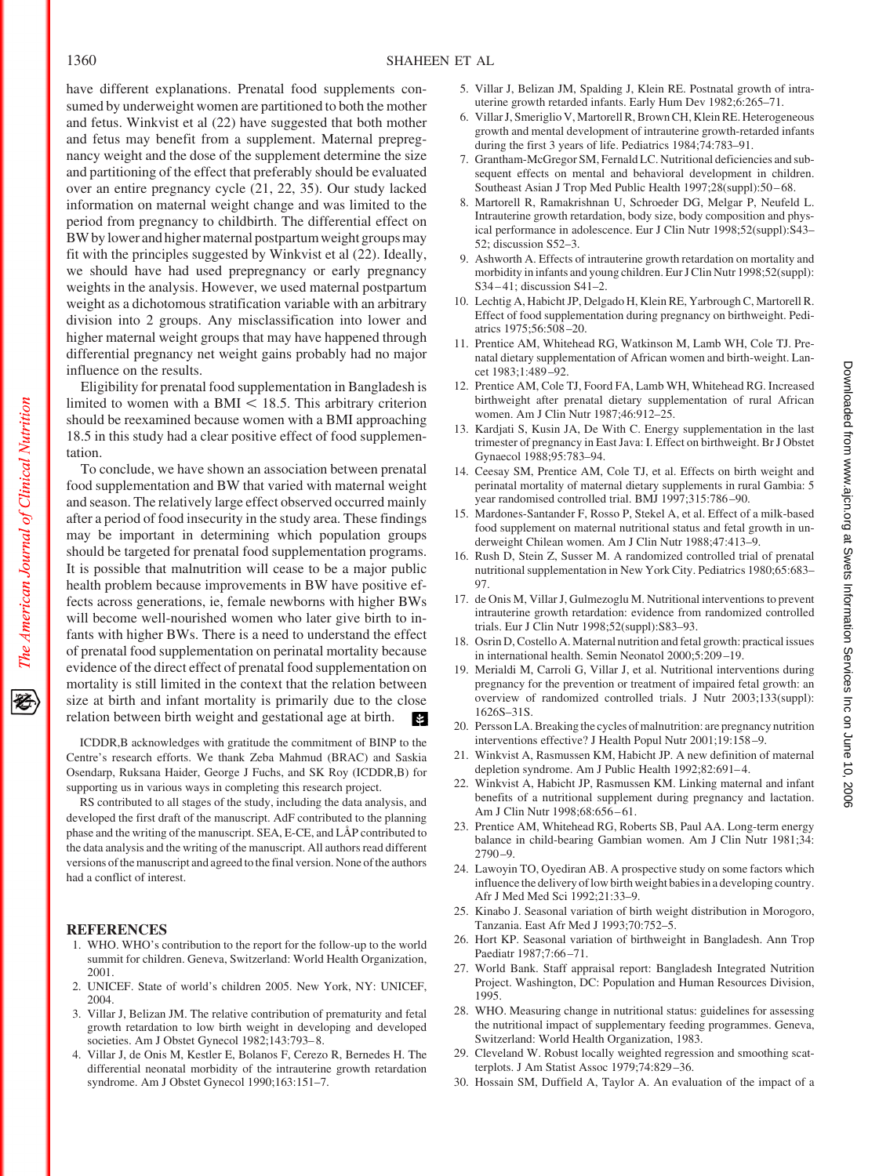have different explanations. Prenatal food supplements consumed by underweight women are partitioned to both the mother and fetus. Winkvist et al (22) have suggested that both mother and fetus may benefit from a supplement. Maternal prepregnancy weight and the dose of the supplement determine the size and partitioning of the effect that preferably should be evaluated over an entire pregnancy cycle (21, 22, 35). Our study lacked information on maternal weight change and was limited to the period from pregnancy to childbirth. The differential effect on BW bylower and higher maternal postpartum weight groups may fit with the principles suggested by Winkvist et al (22). Ideally, we should have had used prepregnancy or early pregnancy weights in the analysis. However, we used maternal postpartum weight as a dichotomous stratification variable with an arbitrary division into 2 groups. Any misclassification into lower and higher maternal weight groups that may have happened through differential pregnancy net weight gains probably had no major influence on the results.

Eligibility for prenatal food supplementation in Bangladesh is limited to women with a BMI  $<$  18.5. This arbitrary criterion should be reexamined because women with a BMI approaching 18.5 in this study had a clear positive effect of food supplementation.

To conclude, we have shown an association between prenatal food supplementation and BW that varied with maternal weight and season. The relatively large effect observed occurred mainly after a period of food insecurity in the study area. These findings may be important in determining which population groups should be targeted for prenatal food supplementation programs. It is possible that malnutrition will cease to be a major public health problem because improvements in BW have positive effects across generations, ie, female newborns with higher BWs will become well-nourished women who later give birth to infants with higher BWs. There is a need to understand the effect of prenatal food supplementation on perinatal mortality because evidence of the direct effect of prenatal food supplementation on mortality is still limited in the context that the relation between size at birth and infant mortality is primarily due to the close relation between birth weight and gestational age at birth. **Part** 

ICDDR,B acknowledges with gratitude the commitment of BINP to the Centre's research efforts. We thank Zeba Mahmud (BRAC) and Saskia Osendarp, Ruksana Haider, George J Fuchs, and SK Roy (ICDDR,B) for supporting us in various ways in completing this research project.

RS contributed to all stages of the study, including the data analysis, and developed the first draft of the manuscript. AdF contributed to the planning phase and the writing of the manuscript. SEA, E-CE, and LÅP contributed to the data analysis and the writing of the manuscript. All authors read different versions of the manuscript and agreed to the final version. None of the authors had a conflict of interest.

# **REFERENCES**

- 1. WHO. WHO's contribution to the report for the follow-up to the world summit for children. Geneva, Switzerland: World Health Organization, 2001.
- 2. UNICEF. State of world's children 2005. New York, NY: UNICEF, 2004.
- 3. Villar J, Belizan JM. The relative contribution of prematurity and fetal growth retardation to low birth weight in developing and developed societies. Am J Obstet Gynecol 1982;143:793-8.
- 4. Villar J, de Onis M, Kestler E, Bolanos F, Cerezo R, Bernedes H. The differential neonatal morbidity of the intrauterine growth retardation syndrome. Am J Obstet Gynecol 1990;163:151–7.
- 5. Villar J, Belizan JM, Spalding J, Klein RE. Postnatal growth of intrauterine growth retarded infants. Early Hum Dev 1982;6:265–71.
- 6. Villar J, Smeriglio V, Martorell R, Brown CH, Klein RE. Heterogeneous growth and mental development of intrauterine growth-retarded infants during the first 3 years of life. Pediatrics 1984;74:783–91.
- 7. Grantham-McGregor SM, Fernald LC. Nutritional deficiencies and subsequent effects on mental and behavioral development in children. Southeast Asian J Trop Med Public Health 1997;28(suppl):50 – 68.
- 8. Martorell R, Ramakrishnan U, Schroeder DG, Melgar P, Neufeld L. Intrauterine growth retardation, body size, body composition and physical performance in adolescence. Eur J Clin Nutr 1998;52(suppl):S43– 52; discussion S52–3.
- 9. Ashworth A. Effects of intrauterine growth retardation on mortality and morbidity in infants and young children. Eur J Clin Nutr 1998;52(suppl): S34 – 41; discussion S41–2.
- 10. Lechtig A, Habicht JP, Delgado H, Klein RE, Yarbrough C, Martorell R. Effect of food supplementation during pregnancy on birthweight. Pediatrics 1975;56:508 –20.
- 11. Prentice AM, Whitehead RG, Watkinson M, Lamb WH, Cole TJ. Prenatal dietary supplementation of African women and birth-weight. Lancet 1983;1:489 –92.
- 12. Prentice AM, Cole TJ, Foord FA, Lamb WH, Whitehead RG. Increased birthweight after prenatal dietary supplementation of rural African women. Am J Clin Nutr 1987;46:912–25.
- 13. Kardjati S, Kusin JA, De With C. Energy supplementation in the last trimester of pregnancy in East Java: I. Effect on birthweight. Br J Obstet Gynaecol 1988;95:783–94.
- 14. Ceesay SM, Prentice AM, Cole TJ, et al. Effects on birth weight and perinatal mortality of maternal dietary supplements in rural Gambia: 5 year randomised controlled trial. BMJ 1997;315:786 –90.
- 15. Mardones-Santander F, Rosso P, Stekel A, et al. Effect of a milk-based food supplement on maternal nutritional status and fetal growth in underweight Chilean women. Am J Clin Nutr 1988;47:413–9.
- 16. Rush D, Stein Z, Susser M. A randomized controlled trial of prenatal nutritional supplementation in New York City. Pediatrics 1980;65:683– 97.
- 17. de Onis M, Villar J, Gulmezoglu M. Nutritional interventions to prevent intrauterine growth retardation: evidence from randomized controlled trials. Eur J Clin Nutr 1998;52(suppl):S83–93.
- 18. Osrin D, Costello A. Maternal nutrition and fetal growth: practical issues in international health. Semin Neonatol 2000;5:209 –19.
- 19. Merialdi M, Carroli G, Villar J, et al. Nutritional interventions during pregnancy for the prevention or treatment of impaired fetal growth: an overview of randomized controlled trials. J Nutr 2003;133(suppl): 1626S–31S.
- 20. Persson LA. Breaking the cycles of malnutrition: are pregnancy nutrition interventions effective? J Health Popul Nutr 2001;19:158 –9.
- 21. Winkvist A, Rasmussen KM, Habicht JP. A new definition of maternal depletion syndrome. Am J Public Health 1992;82:691-4.
- 22. Winkvist A, Habicht JP, Rasmussen KM. Linking maternal and infant benefits of a nutritional supplement during pregnancy and lactation. Am J Clin Nutr 1998;68:656-61.
- 23. Prentice AM, Whitehead RG, Roberts SB, Paul AA. Long-term energy balance in child-bearing Gambian women. Am J Clin Nutr 1981;34: 2790 –9.
- 24. Lawoyin TO, Oyediran AB. A prospective study on some factors which influence the delivery of low birth weight babies in a developing country. Afr J Med Med Sci 1992;21:33–9.
- 25. Kinabo J. Seasonal variation of birth weight distribution in Morogoro, Tanzania. East Afr Med J 1993;70:752–5.
- 26. Hort KP. Seasonal variation of birthweight in Bangladesh. Ann Trop Paediatr 1987;7:66-71.
- 27. World Bank. Staff appraisal report: Bangladesh Integrated Nutrition Project. Washington, DC: Population and Human Resources Division, 1995.
- 28. WHO. Measuring change in nutritional status: guidelines for assessing the nutritional impact of supplementary feeding programmes. Geneva, Switzerland: World Health Organization, 1983.
- 29. Cleveland W. Robust locally weighted regression and smoothing scatterplots. J Am Statist Assoc 1979;74:829 –36.
- 30. Hossain SM, Duffield A, Taylor A. An evaluation of the impact of a

The American Journal of Clinical Nutrition